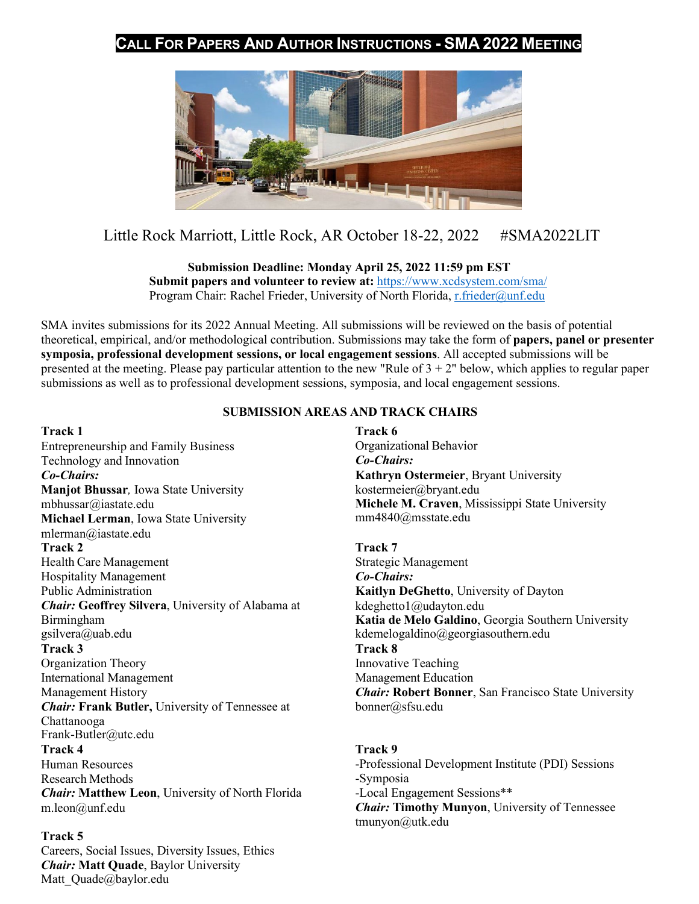## **CALL FOR PAPERS AND AUTHOR INSTRUCTIONS - SMA 2022 MEETING**



# Little Rock Marriott, Little Rock, AR October 18-22, 2022 #SMA2022LIT

**Submission Deadline: Monday April 25, 2022 11:59 pm EST Submit papers and volunteer to review at:** <https://www.xcdsystem.com/sma/> Program Chair: Rachel Frieder, University of North Florida, [r.frieder@unf.edu](mailto:r.frieder@unf.edu)

SMA invites submissions for its 2022 Annual Meeting. All submissions will be reviewed on the basis of potential theoretical, empirical, and/or methodological contribution. Submissions may take the form of **papers, panel or presenter symposia, professional development sessions, or local engagement sessions**. All accepted submissions will be presented at the meeting. Please pay particular attention to the new "Rule of  $3 + 2$ " below, which applies to regular paper submissions as well as to professional development sessions, symposia, and local engagement sessions.

## **SUBMISSION AREAS AND TRACK CHAIRS**

#### **Track 1**

Entrepreneurship and Family Business Technology and Innovation *Co-Chairs:*  **Manjot Bhussar***,* Iowa State University [mbhussar@iastate.edu](mailto:mbhussar@iastate.edu) **Michael Lerman**, Iowa State University mlerman@iastate.edu **Track 2** Health Care Management Hospitality Management Public Administration *Chair:* **Geoffrey Silvera**, University of Alabama at Birmingham [gsilvera@uab.edu](mailto:gsilvera@uab.edu) **Track 3** Organization Theory International Management Management History *Chair:* **Frank Butler,** University of Tennessee at Chattanooga [Frank-Butler@utc.edu](mailto:Frank-Butler@utc.edu) **Track 4** Human Resources Research Methods *Chair:* **Matthew Leon**, University of North Florida [m.leon@unf.edu](mailto:m.leon@unf.edu)

## **Track 5**

Careers, Social Issues, Diversity Issues, Ethics *Chair:* **Matt Quade**, Baylor University Matt Quade@baylor.edu

**Track 6** Organizational Behavior *Co-Chairs:* **Kathryn Ostermeier**, Bryant University [kostermeier@bryant.edu](mailto:kostermeier@bryant.edu) **Michele M. Craven**, Mississippi State University [mm4840@msstate.edu](mailto:mm4840@msstate.edu)

**Track 7** Strategic Management *Co-Chairs:* **Kaitlyn DeGhetto**, University of Dayton [kdeghetto1@udayton.edu](mailto:kdeghetto1@udayton.edu) **Katia de Melo Galdino**, Georgia Southern University [kdemelogaldino@georgiasouthern.edu](mailto:kdemelogaldino@georgiasouthern.edu) **Track 8** Innovative Teaching Management Education *Chair:* **Robert Bonner**, San Francisco State University [bonner@sfsu.edu](mailto:bonner@sfsu.edu)

#### **Track 9**

-Professional Development Institute (PDI) Sessions -Symposia -Local Engagement Sessions\*\* *Chair:* **Timothy Munyon**, University of Tennessee [tmunyon@utk.edu](mailto:tmunyon@utk.edu)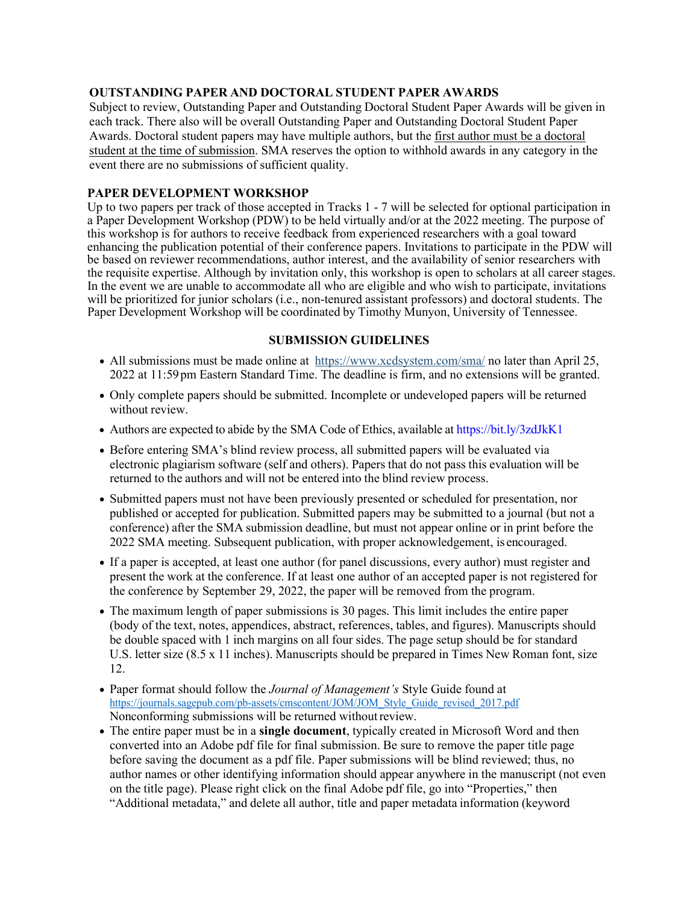## **OUTSTANDING PAPER AND DOCTORAL STUDENT PAPER AWARDS**

Subject to review, Outstanding Paper and Outstanding Doctoral Student Paper Awards will be given in each track. There also will be overall Outstanding Paper and Outstanding Doctoral Student Paper Awards. Doctoral student papers may have multiple authors, but the first author must be a doctoral student at the time of submission. SMA reserves the option to withhold awards in any category in the event there are no submissions of sufficient quality.

## **PAPER DEVELOPMENT WORKSHOP**

Up to two papers per track of those accepted in Tracks 1 - 7 will be selected for optional participation in a Paper Development Workshop (PDW) to be held virtually and/or at the 2022 meeting. The purpose of this workshop is for authors to receive feedback from experienced researchers with a goal toward enhancing the publication potential of their conference papers. Invitations to participate in the PDW will be based on reviewer recommendations, author interest, and the availability of senior researchers with the requisite expertise. Although by invitation only, this workshop is open to scholars at all career stages. In the event we are unable to accommodate all who are eligible and who wish to participate, invitations will be prioritized for junior scholars (i.e., non-tenured assistant professors) and doctoral students. The Paper Development Workshop will be coordinated by Timothy Munyon, University of Tennessee.

## **SUBMISSION GUIDELINES**

- All submissions must be made online at [https://www.xcdsystem.com/sma/](http://www.xcdsystem.com/sma/abstract/index.cfm) no later than April 25, 2022 at 11:59 pm Eastern Standard Time. The deadline is firm, and no extensions will be granted.
- Only complete papers should be submitted. Incomplete or undeveloped papers will be returned without review.
- Authors are expected to abide by the SMA Code of Ethics, available at https://bit.ly/3zdJkK1
- Before entering SMA's blind review process, all submitted papers will be evaluated via electronic plagiarism software (self and others). Papers that do not pass this evaluation will be returned to the authors and will not be entered into the blind review process.
- Submitted papers must not have been previously presented or scheduled for presentation, nor published or accepted for publication. Submitted papers may be submitted to a journal (but not a conference) after the SMA submission deadline, but must not appear online or in print before the 2022 SMA meeting. Subsequent publication, with proper acknowledgement, is encouraged.
- If a paper is accepted, at least one author (for panel discussions, every author) must register and present the work at the conference. If at least one author of an accepted paper is not registered for the conference by September 29, 2022, the paper will be removed from the program.
- The maximum length of paper submissions is 30 pages. This limit includes the entire paper (body of the text, notes, appendices, abstract, references, tables, and figures). Manuscripts should be double spaced with 1 inch margins on all four sides. The page setup should be for standard U.S. letter size (8.5 x 11 inches). Manuscripts should be prepared in Times New Roman font, size 12.
- Paper format should follow the *Journal of Management's* Style Guide found at [https://journals.sagepub.com/pb-assets/cmscontent/JOM/JOM\\_Style\\_Guide\\_revised\\_2017.pdf](https://journals.sagepub.com/pb-assets/cmscontent/JOM/JOM_Style_Guide_revised_2017.pdf) Nonconforming submissions will be returned without review.
- The entire paper must be in a **single document**, typically created in Microsoft Word and then converted into an Adobe pdf file for final submission. Be sure to remove the paper title page before saving the document as a pdf file. Paper submissions will be blind reviewed; thus, no author names or other identifying information should appear anywhere in the manuscript (not even on the title page). Please right click on the final Adobe pdf file, go into "Properties," then "Additional metadata," and delete all author, title and paper metadata information (keyword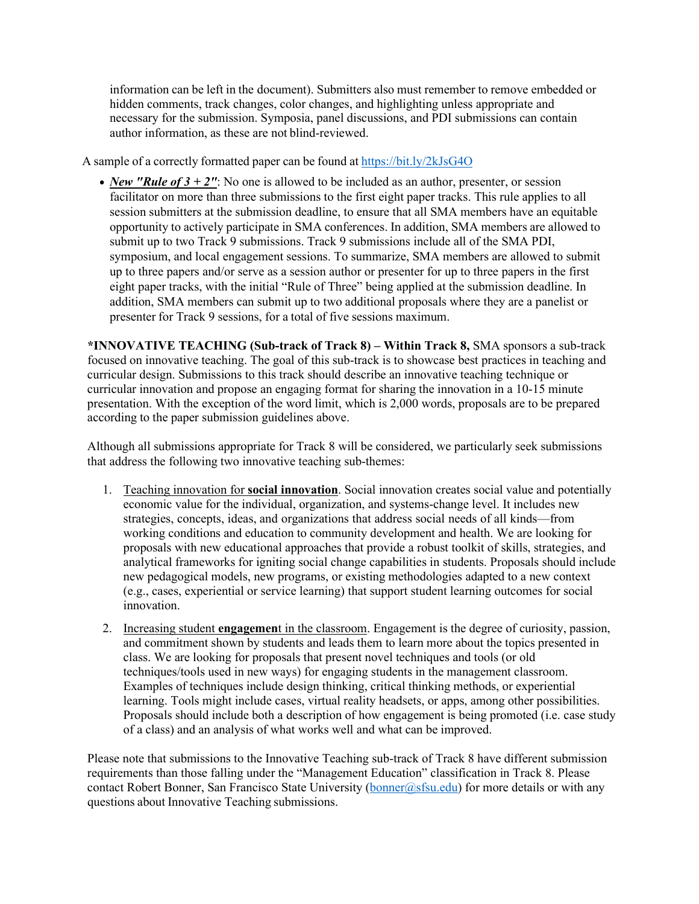information can be left in the document). Submitters also must remember to remove embedded or hidden comments, track changes, color changes, and highlighting unless appropriate and necessary for the submission. Symposia, panel discussions, and PDI submissions can contain author information, as these are not blind-reviewed.

A sample of a correctly formatted paper can be found at <https://bit.ly/2kJsG4O>

• *New "Rule of 3 + 2"*: No one is allowed to be included as an author, presenter, or session facilitator on more than three submissions to the first eight paper tracks. This rule applies to all session submitters at the submission deadline, to ensure that all SMA members have an equitable opportunity to actively participate in SMA conferences. In addition, SMA members are allowed to submit up to two Track 9 submissions. Track 9 submissions include all of the SMA PDI, symposium, and local engagement sessions. To summarize, SMA members are allowed to submit up to three papers and/or serve as a session author or presenter for up to three papers in the first eight paper tracks, with the initial "Rule of Three" being applied at the submission deadline. In addition, SMA members can submit up to two additional proposals where they are a panelist or presenter for Track 9 sessions, for a total of five sessions maximum.

**\*INNOVATIVE TEACHING (Sub-track of Track 8) – Within Track 8,** SMA sponsors a sub-track focused on innovative teaching. The goal of this sub-track is to showcase best practices in teaching and curricular design. Submissions to this track should describe an innovative teaching technique or curricular innovation and propose an engaging format for sharing the innovation in a 10-15 minute presentation. With the exception of the word limit, which is 2,000 words, proposals are to be prepared according to the paper submission guidelines above.

Although all submissions appropriate for Track 8 will be considered, we particularly seek submissions that address the following two innovative teaching sub-themes:

- 1. Teaching innovation for **social innovation**. Social innovation creates social value and potentially economic value for the individual, organization, and systems-change level. It includes new strategies, concepts, ideas, and organizations that address social needs of all kinds—from working conditions and education to community development and health. We are looking for proposals with new educational approaches that provide a robust toolkit of skills, strategies, and analytical frameworks for igniting social change capabilities in students. Proposals should include new pedagogical models, new programs, or existing methodologies adapted to a new context (e.g., cases, experiential or service learning) that support student learning outcomes for social innovation.
- 2. Increasing student **engagemen**t in the classroom. Engagement is the degree of curiosity, passion, and commitment shown by students and leads them to learn more about the topics presented in class. We are looking for proposals that present novel techniques and tools (or old techniques/tools used in new ways) for engaging students in the management classroom. Examples of techniques include design thinking, critical thinking methods, or experiential learning. Tools might include cases, virtual reality headsets, or apps, among other possibilities. Proposals should include both a description of how engagement is being promoted (i.e. case study of a class) and an analysis of what works well and what can be improved.

Please note that submissions to the Innovative Teaching sub-track of Track 8 have different submission requirements than those falling under the "Management Education" classification in Track 8. Please contact Robert Bonner, San Francisco State University [\(bonner@sfsu.edu\)](mailto:bonner@sfsu.edu) for more details or with any questions about Innovative Teaching submissions.